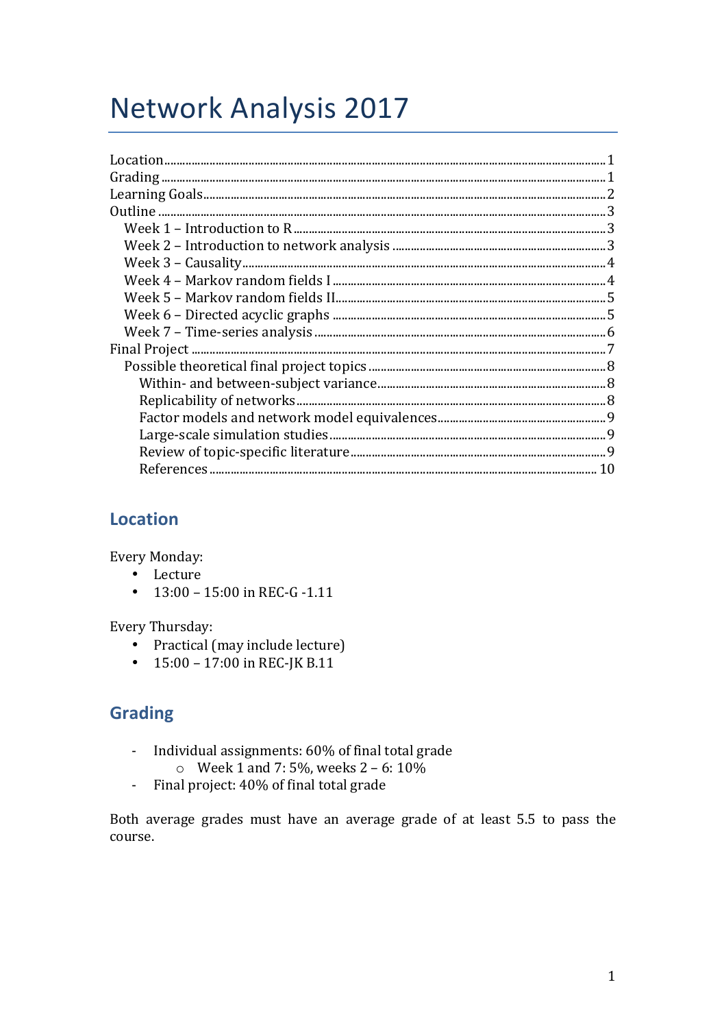# **Network Analysis 2017**

| Location |  |
|----------|--|
|          |  |
|          |  |
|          |  |
|          |  |
|          |  |
|          |  |
|          |  |
|          |  |
|          |  |
|          |  |
|          |  |
|          |  |
|          |  |
|          |  |
|          |  |
|          |  |
|          |  |
|          |  |
|          |  |
|          |  |

# **Location**

**Every Monday:** 

- Lecture
- $13:00 15:00$  in REC-G -1.11

Every Thursday:

- Practical (may include lecture)
- $15:00 17:00$  in REC-JK B.11

# **Grading**

- Individual assignments: 60% of final total grade  $\omega_{\rm{max}}$ 
	- $\circ$  Week 1 and 7:5%, weeks 2 6:10%
- Final project: 40% of final total grade  $\omega_{\rm{eff}}$

Both average grades must have an average grade of at least 5.5 to pass the course.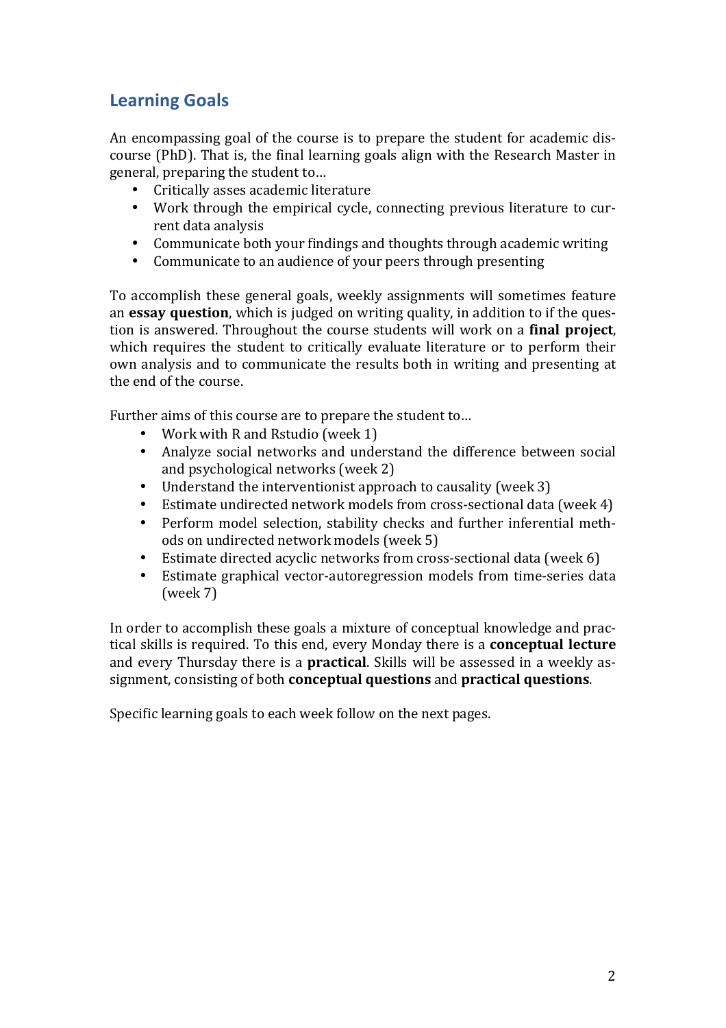# **Learning Goals**

An encompassing goal of the course is to prepare the student for academic discourse (PhD). That is, the final learning goals align with the Research Master in general, preparing the student to...

- Critically asses academic literature
- Work through the empirical cycle, connecting previous literature to current data analysis
- Communicate both your findings and thoughts through academic writing
- Communicate to an audience of your peers through presenting

To accomplish these general goals, weekly assignments will sometimes feature an **essay question**, which is judged on writing quality, in addition to if the question is answered. Throughout the course students will work on a **final project**, which requires the student to critically evaluate literature or to perform their own analysis and to communicate the results both in writing and presenting at the end of the course.

Further aims of this course are to prepare the student to...

- Work with R and Rstudio (week 1)
- Analyze social networks and understand the difference between social and psychological networks  $($ week  $2)$
- Understand the interventionist approach to causality (week 3)
- Estimate undirected network models from cross-sectional data (week 4)
- Perform model selection, stability checks and further inferential methods on undirected network models (week 5)
- Estimate directed acyclic networks from cross-sectional data (week  $6$ )
- Estimate graphical vector-autoregression models from time-series data  $(week 7)$

In order to accomplish these goals a mixture of conceptual knowledge and practical skills is required. To this end, every Monday there is a **conceptual lecture** and every Thursday there is a **practical**. Skills will be assessed in a weekly assignment, consisting of both **conceptual questions** and **practical questions**.

Specific learning goals to each week follow on the next pages.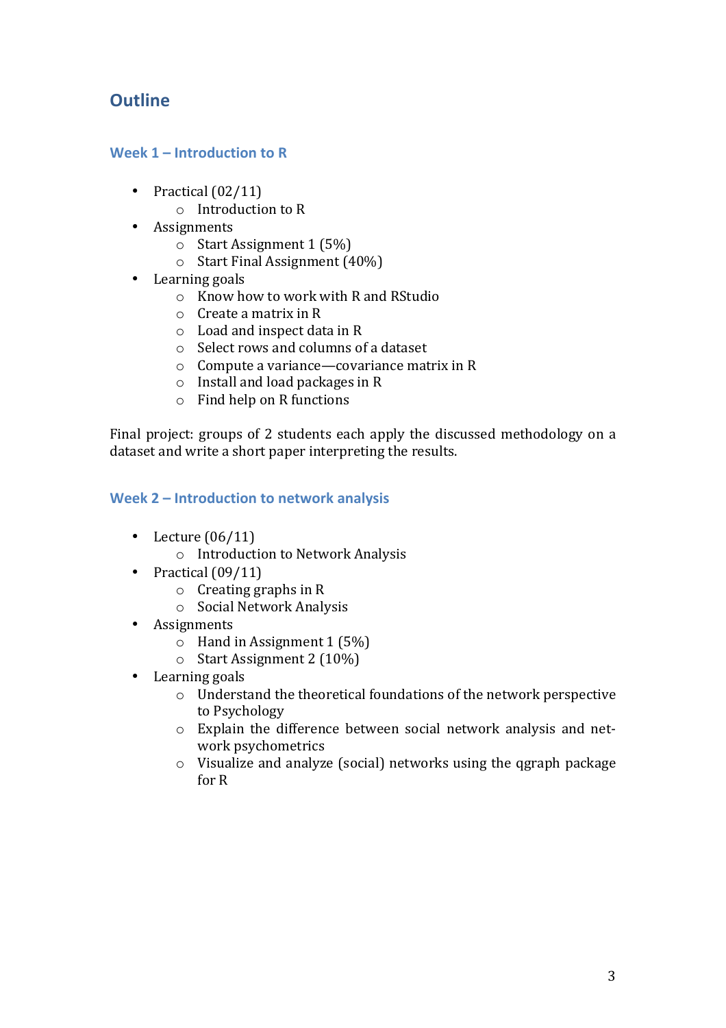# **Outline**

# **Week 1 – Introduction to R**

- Practical  $(02/11)$ 
	- $\circ$  Introduction to R
- Assignments
	- $\circ$  Start Assignment 1 (5%)
	- $\circ$  Start Final Assignment (40%)
- Learning goals
	- $\circ$  Know how to work with R and RStudio
	- $\circ$  Create a matrix in R
	- $\circ$  Load and inspect data in R
	- $\circ$  Select rows and columns of a dataset
	- $\circ$  Compute a variance—covariance matrix in R
	- $\circ$  Install and load packages in R
	- $\circ$  Find help on R functions

Final project: groups of 2 students each apply the discussed methodology on a dataset and write a short paper interpreting the results.

## Week 2 – **Introduction** to network analysis

- Lecture  $(06/11)$ 
	- $\circ$  Introduction to Network Analysis
- Practical  $(09/11)$ 
	- $\circ$  Creating graphs in R
	- o Social Network Analysis
- Assignments
	- $\circ$  Hand in Assignment 1 (5%)
	- $\circ$  Start Assignment 2 (10%)
- Learning goals
	- $\circ$  Understand the theoretical foundations of the network perspective to Psychology
	- $\circ$  Explain the difference between social network analysis and network psychometrics
	- $\circ$  Visualize and analyze (social) networks using the qgraph package for R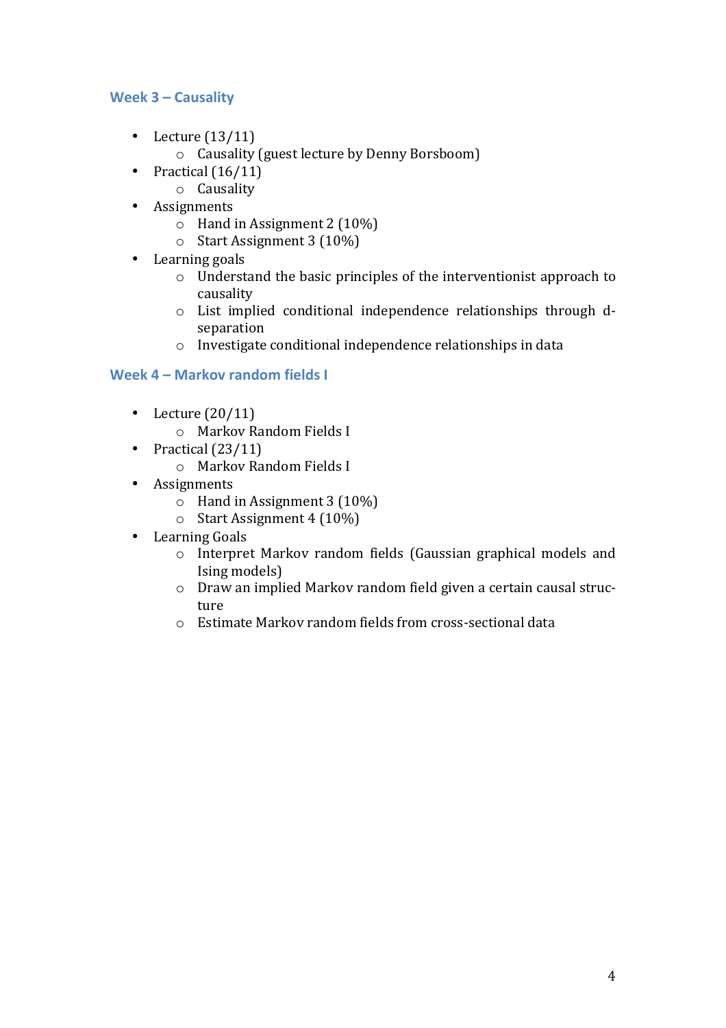# **Week 3 – Causality**

- Lecture  $(13/11)$ 
	- o Causality (guest lecture by Denny Borsboom)
- Practical  $(16/11)$ 
	- o Causality
- Assignments
	- $\circ$  Hand in Assignment 2 (10%)
	- $\circ$  Start Assignment 3 (10%)
- Learning goals
	- $\circ$  Understand the basic principles of the interventionist approach to causality
	- $\circ$  List implied conditional independence relationships through dseparation
	- $\circ$  Investigate conditional independence relationships in data

# **Week 4 – Markov random fields I**

- Lecture  $(20/11)$ 
	- o Markov Random Fields I
- Practical  $(23/11)$ 
	- o Markov Random Fields I
- Assignments
	- $\circ$  Hand in Assignment 3 (10%)
	- $\circ$  Start Assignment 4 (10%)
- Learning Goals
	- o Interpret Markov random fields (Gaussian graphical models and Ising models)
	- o Draw an implied Markov random field given a certain causal structure
	- $\circ$  Estimate Markov random fields from cross-sectional data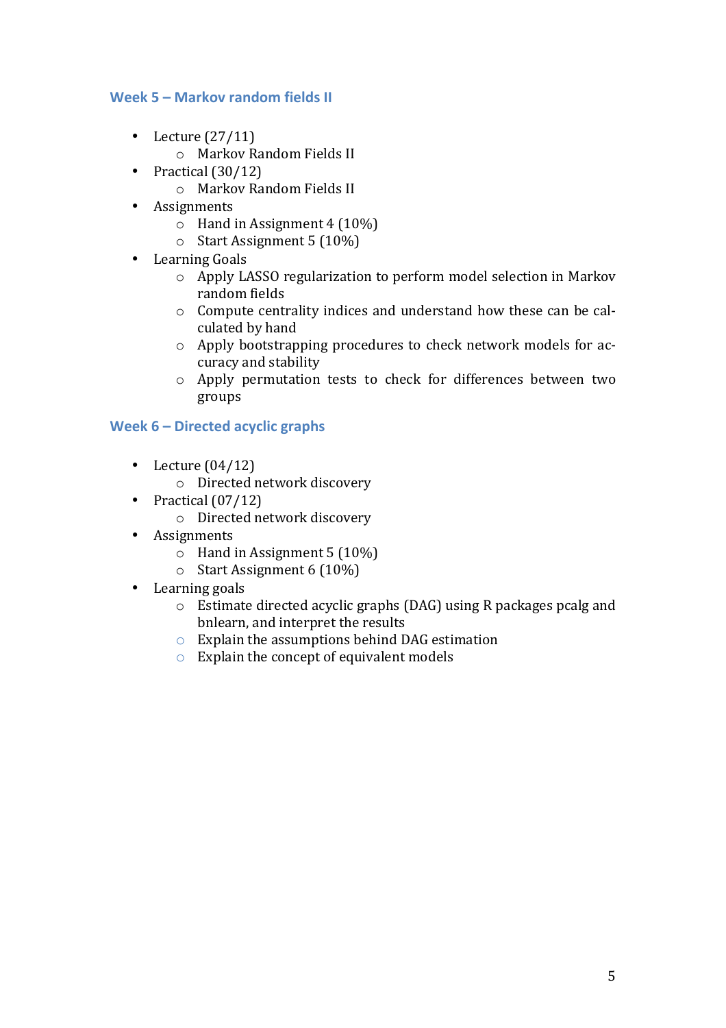## **Week 5 – Markov random fields II**

- Lecture  $(27/11)$ 
	- o Markov Random Fields II
- Practical  $(30/12)$ 
	- o Markov Random Fields II
- Assignments
	- $\circ$  Hand in Assignment 4 (10%)
	- $\circ$  Start Assignment 5 (10%)
- Learning Goals
	- $\circ$  Apply LASSO regularization to perform model selection in Markov random fields
	- $\circ$  Compute centrality indices and understand how these can be calculated by hand
	- $\circ$  Apply bootstrapping procedures to check network models for accuracy and stability
	- o Apply permutation tests to check for differences between two groups

## **Week 6 – Directed acyclic graphs**

- Lecture  $(04/12)$ 
	- o Directed network discovery
- Practical  $(07/12)$ 
	- o Directed network discovery
- Assignments
	- $\circ$  Hand in Assignment 5 (10%)
	- $\circ$  Start Assignment 6 (10%)
- Learning goals
	- $\circ$  Estimate directed acyclic graphs (DAG) using R packages pcalg and bnlearn, and interpret the results
	- $\circ$  Explain the assumptions behind DAG estimation
	- $\circ$  Explain the concept of equivalent models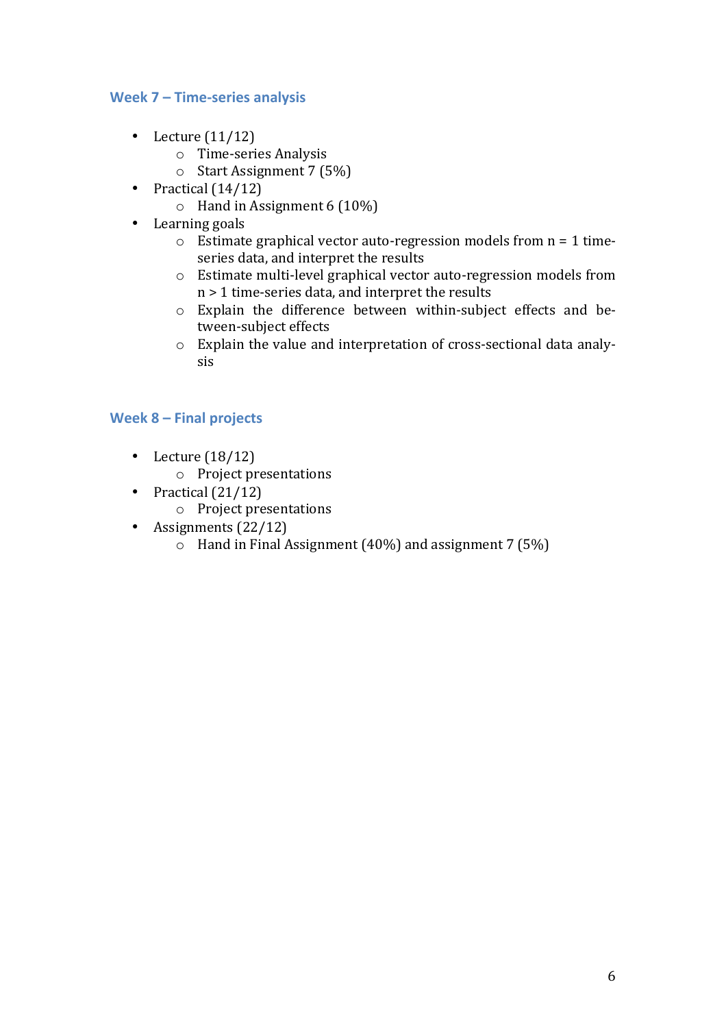## **Week 7 – Time-series analysis**

- Lecture  $(11/12)$ 
	- o Time-series Analysis
	- $\circ$  Start Assignment 7 (5%)
- Practical  $(14/12)$ 
	- $\circ$  Hand in Assignment 6 (10%)
- Learning goals
	- $\circ$  Estimate graphical vector auto-regression models from  $n = 1$  timeseries data, and interpret the results
	- $\circ$  Estimate multi-level graphical vector auto-regression models from  $n > 1$  time-series data, and interpret the results
	- $\circ$  Explain the difference between within-subject effects and between-subject effects
	- $\circ$  Explain the value and interpretation of cross-sectional data analysis

## **Week 8 – Final projects**

- Lecture  $(18/12)$ 
	- $\circ$  Project presentations
- Practical  $(21/12)$ 
	- $\circ$  Project presentations
- Assignments  $(22/12)$ 
	- $\circ$  Hand in Final Assignment (40%) and assignment 7 (5%)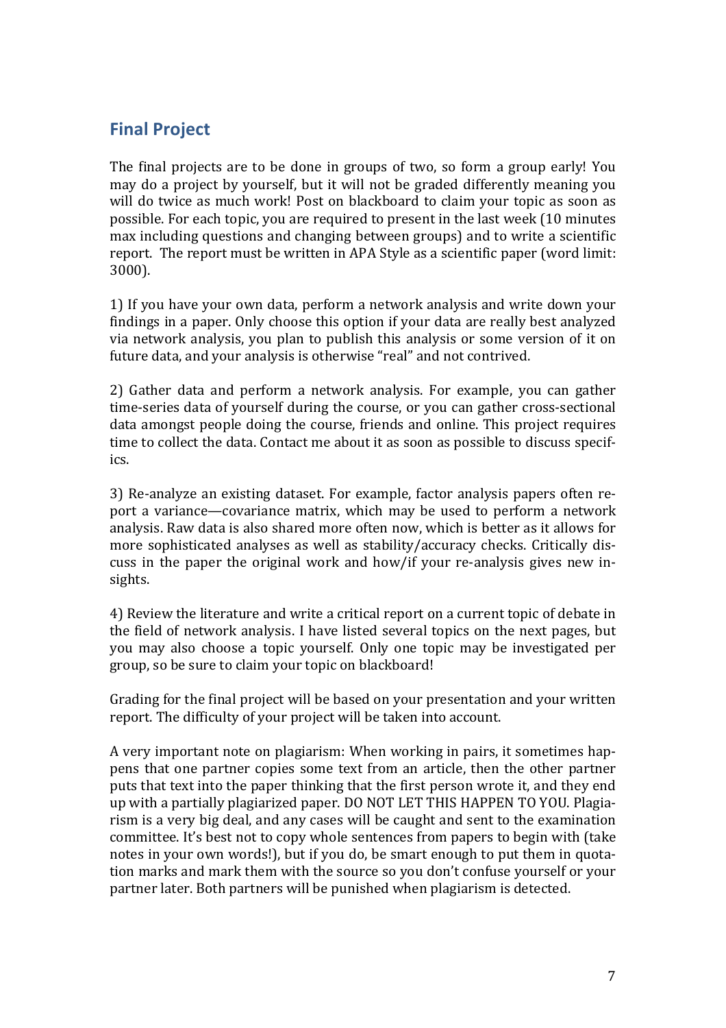# **Final Project**

The final projects are to be done in groups of two, so form a group early! You may do a project by yourself, but it will not be graded differently meaning you will do twice as much work! Post on blackboard to claim vour topic as soon as possible. For each topic, you are required to present in the last week (10 minutes max including questions and changing between groups) and to write a scientific report. The report must be written in APA Style as a scientific paper (word limit: 3000).

1) If you have your own data, perform a network analysis and write down your findings in a paper. Only choose this option if your data are really best analyzed via network analysis, you plan to publish this analysis or some version of it on future data, and your analysis is otherwise "real" and not contrived.

2) Gather data and perform a network analysis. For example, you can gather time-series data of yourself during the course, or you can gather cross-sectional data amongst people doing the course, friends and online. This project requires time to collect the data. Contact me about it as soon as possible to discuss specifics.

3) Re-analyze an existing dataset. For example, factor analysis papers often report a variance—covariance matrix, which may be used to perform a network analysis. Raw data is also shared more often now, which is better as it allows for more sophisticated analyses as well as stability/accuracy checks. Critically discuss in the paper the original work and how/if your re-analysis gives new insights.

4) Review the literature and write a critical report on a current topic of debate in the field of network analysis. I have listed several topics on the next pages, but you may also choose a topic yourself. Only one topic may be investigated per group, so be sure to claim your topic on blackboard!

Grading for the final project will be based on your presentation and your written report. The difficulty of your project will be taken into account.

A very important note on plagiarism: When working in pairs, it sometimes happens that one partner copies some text from an article, then the other partner puts that text into the paper thinking that the first person wrote it, and they end up with a partially plagiarized paper. DO NOT LET THIS HAPPEN TO YOU. Plagiarism is a very big deal, and any cases will be caught and sent to the examination committee. It's best not to copy whole sentences from papers to begin with (take notes in your own words!), but if you do, be smart enough to put them in quotation marks and mark them with the source so you don't confuse yourself or your partner later. Both partners will be punished when plagiarism is detected.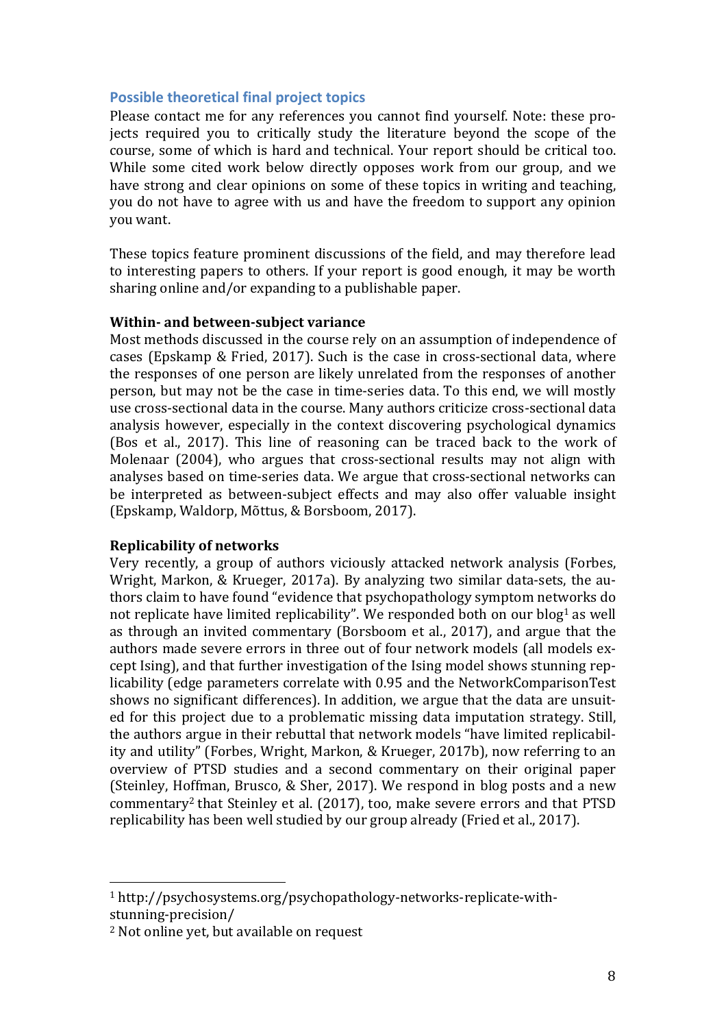#### **Possible theoretical final project topics**

Please contact me for any references you cannot find yourself. Note: these projects required you to critically study the literature beyond the scope of the course, some of which is hard and technical. Your report should be critical too. While some cited work below directly opposes work from our group, and we have strong and clear opinions on some of these topics in writing and teaching. you do not have to agree with us and have the freedom to support any opinion you want.

These topics feature prominent discussions of the field, and may therefore lead to interesting papers to others. If your report is good enough, it may be worth sharing online and/or expanding to a publishable paper.

#### **Within- and between-subject variance**

Most methods discussed in the course rely on an assumption of independence of cases (Epskamp & Fried, 2017). Such is the case in cross-sectional data, where the responses of one person are likely unrelated from the responses of another person, but may not be the case in time-series data. To this end, we will mostly use cross-sectional data in the course. Many authors criticize cross-sectional data analysis however, especially in the context discovering psychological dynamics (Bos et al., 2017). This line of reasoning can be traced back to the work of Molenaar (2004), who argues that cross-sectional results may not align with analyses based on time-series data. We argue that cross-sectional networks can be interpreted as between-subject effects and may also offer valuable insight (Epskamp, Waldorp, Mõttus, & Borsboom, 2017).

#### **Replicability of networks**

Very recently, a group of authors viciously attacked network analysis (Forbes, Wright, Markon, & Krueger, 2017a). By analyzing two similar data-sets, the authors claim to have found "evidence that psychopathology symptom networks do not replicate have limited replicability". We responded both on our blog<sup>1</sup> as well as through an invited commentary (Borsboom et al., 2017), and argue that the authors made severe errors in three out of four network models (all models except Ising), and that further investigation of the Ising model shows stunning replicability (edge parameters correlate with 0.95 and the NetworkComparisonTest shows no significant differences). In addition, we argue that the data are unsuited for this project due to a problematic missing data imputation strategy. Still, the authors argue in their rebuttal that network models "have limited replicability and utility" (Forbes, Wright, Markon, & Krueger, 2017b), now referring to an overview of PTSD studies and a second commentary on their original paper (Steinley, Hoffman, Brusco, & Sher, 2017). We respond in blog posts and a new commentary<sup>2</sup> that Steinley et al.  $(2017)$ , too, make severe errors and that PTSD replicability has been well studied by our group already (Fried et al., 2017).

 

<sup>1</sup> http://psychosystems.org/psychopathology-networks-replicate-withstunning-precision/

<sup>&</sup>lt;sup>2</sup> Not online vet, but available on request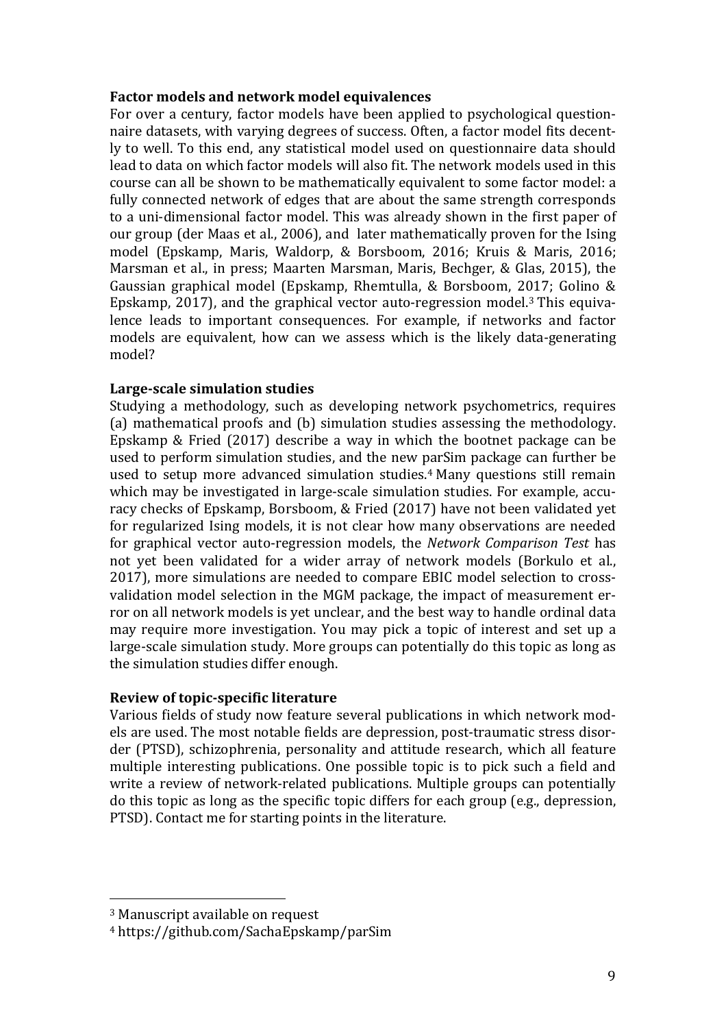#### **Factor models and network model equivalences**

For over a century, factor models have been applied to psychological questionnaire datasets, with varying degrees of success. Often, a factor model fits decently to well. To this end, any statistical model used on questionnaire data should lead to data on which factor models will also fit. The network models used in this course can all be shown to be mathematically equivalent to some factor model: a fully connected network of edges that are about the same strength corresponds to a uni-dimensional factor model. This was already shown in the first paper of our group (der Maas et al., 2006), and later mathematically proven for the Ising model (Epskamp, Maris, Waldorp, & Borsboom, 2016; Kruis & Maris, 2016; Marsman et al., in press; Maarten Marsman, Maris, Bechger, & Glas, 2015), the Gaussian graphical model (Epskamp, Rhemtulla, & Borsboom, 2017; Golino & Epskamp, 2017), and the graphical vector auto-regression model.<sup>3</sup> This equivalence leads to important consequences. For example, if networks and factor models are equivalent, how can we assess which is the likely data-generating model?

#### Large-scale simulation studies

Studying a methodology, such as developing network psychometrics, requires (a) mathematical proofs and (b) simulation studies assessing the methodology. Epskamp & Fried  $(2017)$  describe a way in which the bootnet package can be used to perform simulation studies, and the new parSim package can further be used to setup more advanced simulation studies.<sup>4</sup> Many questions still remain which may be investigated in large-scale simulation studies. For example, accuracy checks of Epskamp, Borsboom, & Fried (2017) have not been validated yet for regularized Ising models, it is not clear how many observations are needed for graphical vector auto-regression models, the *Network Comparison Test* has not vet been validated for a wider array of network models (Borkulo et al., 2017), more simulations are needed to compare EBIC model selection to crossvalidation model selection in the MGM package, the impact of measurement error on all network models is yet unclear, and the best way to handle ordinal data may require more investigation. You may pick a topic of interest and set up a large-scale simulation study. More groups can potentially do this topic as long as the simulation studies differ enough.

#### **Review of topic-specific literature**

Various fields of study now feature several publications in which network models are used. The most notable fields are depression, post-traumatic stress disorder (PTSD), schizophrenia, personality and attitude research, which all feature multiple interesting publications. One possible topic is to pick such a field and write a review of network-related publications. Multiple groups can potentially do this topic as long as the specific topic differs for each group (e.g., depression, PTSD). Contact me for starting points in the literature.

 

 $3$  Manuscript available on request

<sup>4</sup> https://github.com/SachaEpskamp/parSim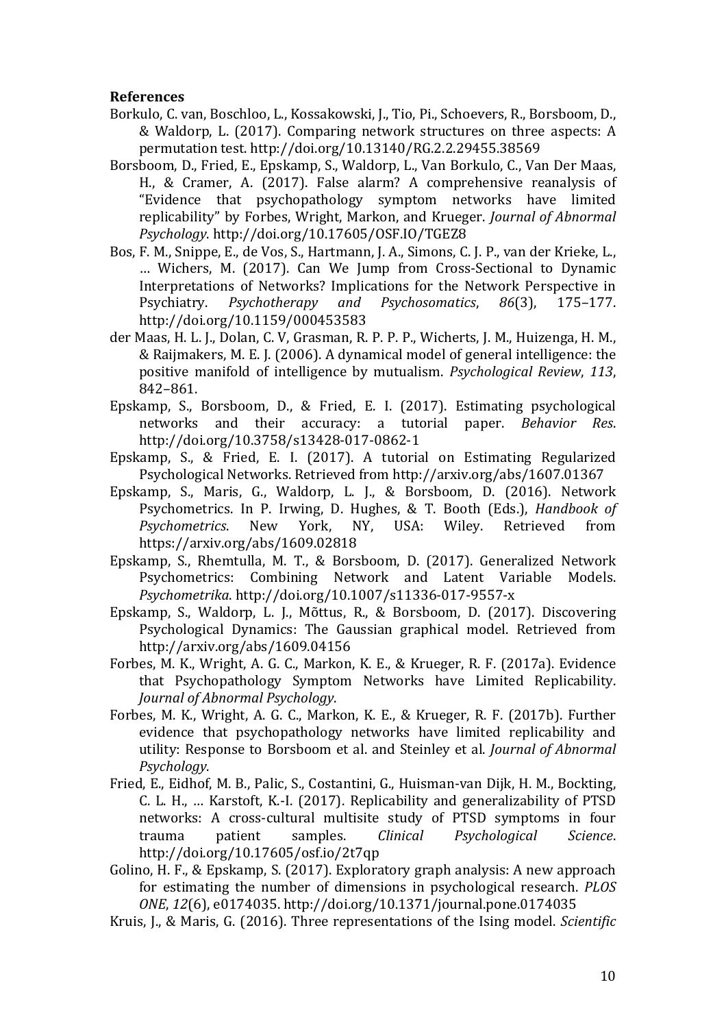#### **References**

- Borkulo, C. van, Boschloo, L., Kossakowski, J., Tio, Pi., Schoevers, R., Borsboom, D., & Waldorp, L. (2017). Comparing network structures on three aspects: A permutation test. http://doi.org/10.13140/RG.2.2.29455.38569
- Borsboom, D., Fried, E., Epskamp, S., Waldorp, L., Van Borkulo, C., Van Der Maas, H., & Cramer, A. (2017). False alarm? A comprehensive reanalysis of "Evidence that psychopathology symptom networks have limited replicability" by Forbes, Wright, Markon, and Krueger. *Journal of Abnormal Psychology*. http://doi.org/10.17605/OSF.IO/TGEZ8
- Bos, F. M., Snippe, E., de Vos, S., Hartmann, J. A., Simons, C. J. P., van der Krieke, L., ... Wichers, M. (2017). Can We Jump from Cross-Sectional to Dynamic Interpretations of Networks? Implications for the Network Perspective in Psychiatry. *Psychotherapy and Psychosomatics*, *86*(3), 175–177. http://doi.org/10.1159/000453583
- der Maas, H. L. J., Dolan, C. V, Grasman, R. P. P. P., Wicherts, J. M., Huizenga, H. M., & Raijmakers, M. E. J. (2006). A dynamical model of general intelligence: the positive manifold of intelligence by mutualism. *Psychological Review*, *113*, 842–861.
- Epskamp, S., Borsboom, D., & Fried, E. I. (2017). Estimating psychological networks and their accuracy: a tutorial paper. *Behavior Res*. http://doi.org/10.3758/s13428-017-0862-1
- Epskamp, S., & Fried, E. I. (2017). A tutorial on Estimating Regularized Psychological Networks. Retrieved from http://arxiv.org/abs/1607.01367
- Epskamp, S., Maris, G., Waldorp, L. J., & Borsboom, D. (2016). Network Psychometrics. In P. Irwing, D. Hughes, & T. Booth (Eds.), *Handbook of Psychometrics*. New York, NY, USA: Wiley. Retrieved from https://arxiv.org/abs/1609.02818
- Epskamp, S., Rhemtulla, M. T., & Borsboom, D. (2017). Generalized Network Psychometrics: Combining Network and Latent Variable Models. *Psychometrika*. http://doi.org/10.1007/s11336-017-9557-x
- Epskamp, S., Waldorp, L. J., Mõttus, R., & Borsboom, D. (2017). Discovering Psychological Dynamics: The Gaussian graphical model. Retrieved from http://arxiv.org/abs/1609.04156
- Forbes, M. K., Wright, A. G. C., Markon, K. E., & Krueger, R. F. (2017a). Evidence that Psychopathology Symptom Networks have Limited Replicability. *Journal of Abnormal Psychology*.
- Forbes, M. K., Wright, A. G. C., Markon, K. E., & Krueger, R. F. (2017b). Further evidence that psychopathology networks have limited replicability and utility: Response to Borsboom et al. and Steinley et al. *Journal of Abnormal Psychology*.
- Fried, E., Eidhof, M. B., Palic, S., Costantini, G., Huisman-van Dijk, H. M., Bockting, C. L. H., ... Karstoft, K.-I. (2017). Replicability and generalizability of PTSD networks: A cross-cultural multisite study of PTSD symptoms in four trauma patient samples. *Clinical Psychological Science*. http://doi.org/10.17605/osf.io/2t7qp
- Golino, H. F., & Epskamp, S. (2017). Exploratory graph analysis: A new approach for estimating the number of dimensions in psychological research. *PLOS ONE*, *12*(6), e0174035. http://doi.org/10.1371/journal.pone.0174035
- Kruis, J., & Maris, G. (2016). Three representations of the Ising model. *Scientific*